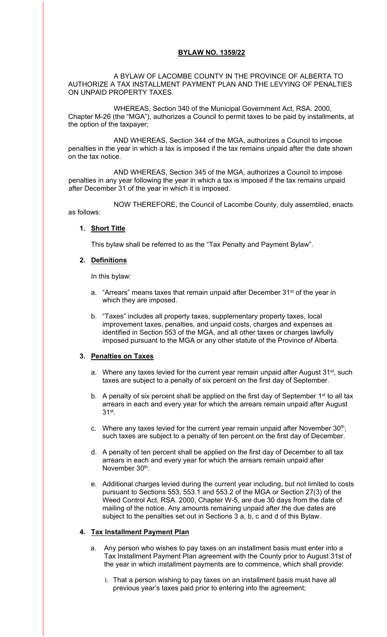## **BYLAW NO. 1359/22**

 A BYLAW OF LACOMBE COUNTY IN THE PROVINCE OF ALBERTA TO AUTHORIZE A TAX INSTALLMENT PAYMENT PLAN AND THE LEVYING OF PENALTIES ON UNPAID PROPERTY TAXES.

 WHEREAS, Section 340 of the Municipal Government Act, RSA. 2000, Chapter M-26 (the "MGA"), authorizes a Council to permit taxes to be paid by installments, at the option of the taxpayer;

 AND WHEREAS, Section 344 of the MGA, authorizes a Council to impose penalties in the year in which a tax is imposed if the tax remains unpaid after the date shown on the tax notice.

 AND WHEREAS, Section 345 of the MGA, authorizes a Council to impose penalties in any year following the year in which a tax is imposed if the tax remains unpaid after December 31 of the year in which it is imposed.

 NOW THEREFORE, the Council of Lacombe County, duly assembled, enacts as follows:

## **1. Short Title**

This bylaw shall be referred to as the "Tax Penalty and Payment Bylaw".

## **2. Definitions**

In this bylaw:

- a. "Arrears" means taxes that remain unpaid after December  $31^{st}$  of the year in which they are imposed.
- b. "Taxes" includes all property taxes, supplementary property taxes, local improvement taxes, penalties, and unpaid costs, charges and expenses as identified in Section 553 of the MGA, and all other taxes or charges lawfully imposed pursuant to the MGA or any other statute of the Province of Alberta.

# **3. Penalties on Taxes**

- a. Where any taxes levied for the current year remain unpaid after August 31<sup>st</sup>, such taxes are subject to a penalty of six percent on the first day of September.
- b. A penalty of six percent shall be applied on the first day of September  $1<sup>st</sup>$  to all tax arrears in each and every year for which the arrears remain unpaid after August 31st.
- c. Where any taxes levied for the current year remain unpaid after November 30<sup>th</sup>, such taxes are subject to a penalty of ten percent on the first day of December.
- d. A penalty of ten percent shall be applied on the first day of December to all tax arrears in each and every year for which the arrears remain unpaid after November 30<sup>th</sup>.
- e. Additional charges levied during the current year including, but not limited to costs pursuant to Sections 553, 553.1 and 553.2 of the MGA or Section 27(3) of the Weed Control Act, RSA. 2000, Chapter W-5, are due 30 days from the date of mailing of the notice. Any amounts remaining unpaid after the due dates are subject to the penalties set out in Sections 3 a, b, c and d of this Bylaw.

#### **4. Tax Installment Payment Plan**

- a. Any person who wishes to pay taxes on an installment basis must enter into a Tax Installment Payment Plan agreement with the County prior to August 31st of the year in which installment payments are to commence, which shall provide:
	- i. That a person wishing to pay taxes on an installment basis must have all previous year's taxes paid prior to entering into the agreement;